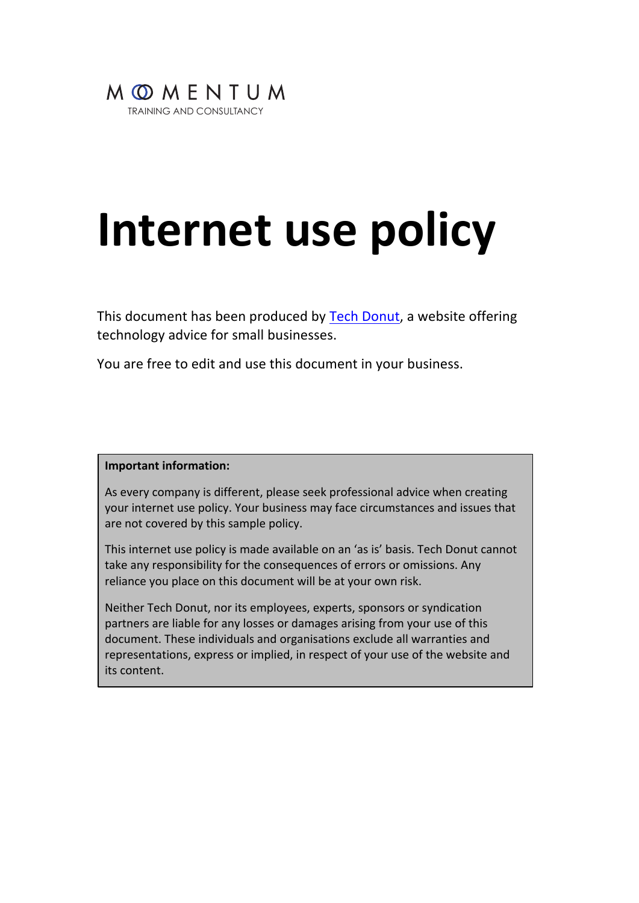

# **Internet use policy**

This document has been produced by Tech Donut, a website offering technology advice for small businesses.

You are free to edit and use this document in your business.

#### **Important information:**

As every company is different, please seek professional advice when creating your internet use policy. Your business may face circumstances and issues that are not covered by this sample policy.

This internet use policy is made available on an 'as is' basis. Tech Donut cannot take any responsibility for the consequences of errors or omissions. Any reliance you place on this document will be at your own risk.

Neither Tech Donut, nor its employees, experts, sponsors or syndication partners are liable for any losses or damages arising from your use of this document. These individuals and organisations exclude all warranties and representations, express or implied, in respect of your use of the website and its content.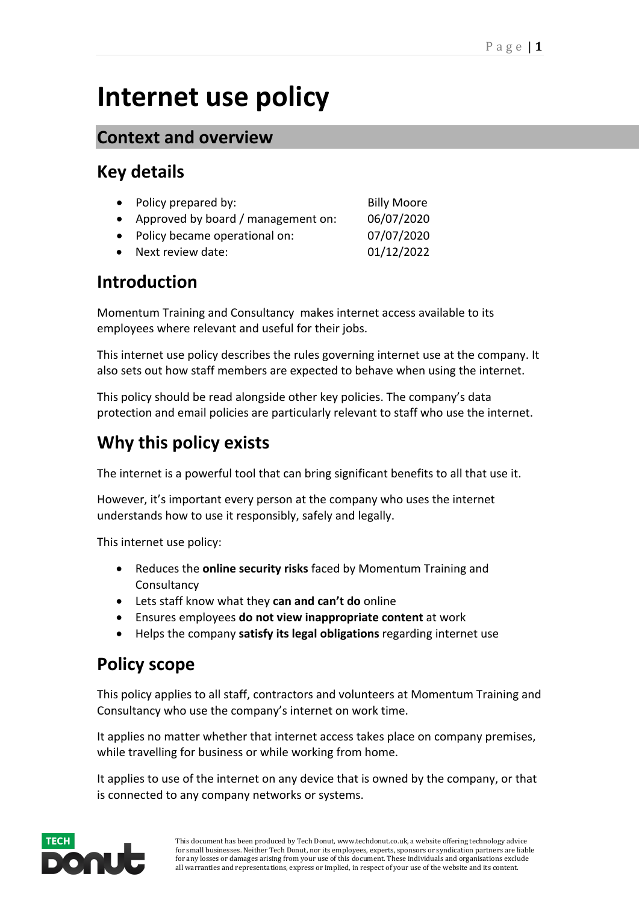## **Internet use policy**

#### **Context and overview**

#### **Key details**

| • Policy prepared by:                | <b>Billy Moore</b> |
|--------------------------------------|--------------------|
| • Approved by board / management on: | 06/07/2020         |
| • Policy became operational on:      | 07/07/2020         |
| • Next review date:                  | 01/12/2022         |

#### **Introduction**

Momentum Training and Consultancy makes internet access available to its employees where relevant and useful for their jobs.

This internet use policy describes the rules governing internet use at the company. It also sets out how staff members are expected to behave when using the internet.

This policy should be read alongside other key policies. The company's data protection and email policies are particularly relevant to staff who use the internet.

### **Why this policy exists**

The internet is a powerful tool that can bring significant benefits to all that use it.

However, it's important every person at the company who uses the internet understands how to use it responsibly, safely and legally.

This internet use policy:

- Reduces the **online security risks** faced by Momentum Training and **Consultancy**
- Lets staff know what they **can and can't do** online
- Ensures employees **do not view inappropriate content** at work
- Helps the company **satisfy its legal obligations** regarding internet use

#### **Policy scope**

This policy applies to all staff, contractors and volunteers at Momentum Training and Consultancy who use the company's internet on work time.

It applies no matter whether that internet access takes place on company premises, while travelling for business or while working from home.

It applies to use of the internet on any device that is owned by the company, or that is connected to any company networks or systems.

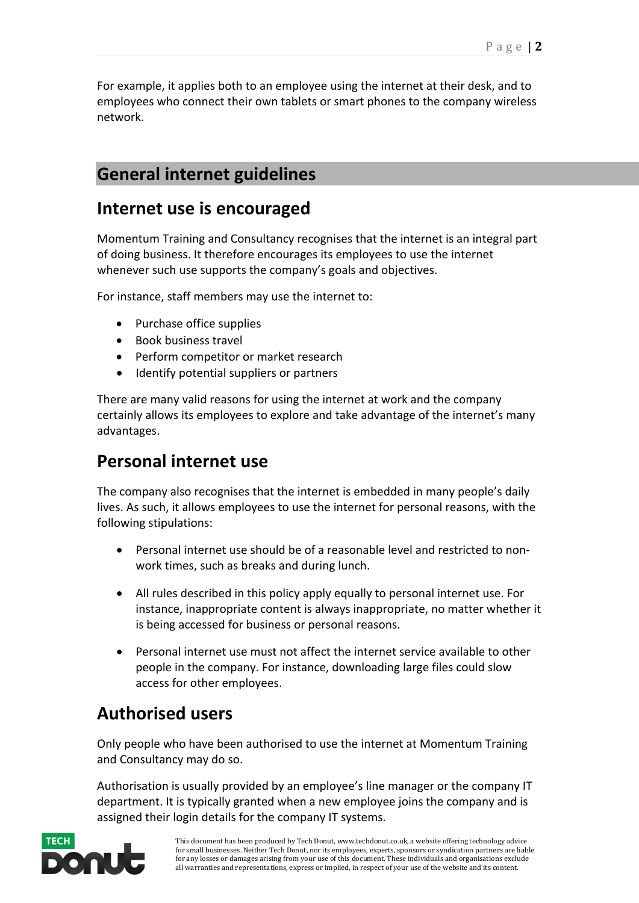For example, it applies both to an employee using the internet at their desk, and to employees who connect their own tablets or smart phones to the company wireless network.

#### **General internet guidelines**

#### **Internet use is encouraged**

Momentum Training and Consultancy recognises that the internet is an integral part of doing business. It therefore encourages its employees to use the internet whenever such use supports the company's goals and objectives.

For instance, staff members may use the internet to:

- Purchase office supplies
- Book business travel
- Perform competitor or market research
- Identify potential suppliers or partners

There are many valid reasons for using the internet at work and the company certainly allows its employees to explore and take advantage of the internet's many advantages.

#### **Personal internet use**

The company also recognises that the internet is embedded in many people's daily lives. As such, it allows employees to use the internet for personal reasons, with the following stipulations:

- Personal internet use should be of a reasonable level and restricted to nonwork times, such as breaks and during lunch.
- All rules described in this policy apply equally to personal internet use. For instance, inappropriate content is always inappropriate, no matter whether it is being accessed for business or personal reasons.
- Personal internet use must not affect the internet service available to other people in the company. For instance, downloading large files could slow access for other employees.

#### **Authorised users**

Only people who have been authorised to use the internet at Momentum Training and Consultancy may do so.

Authorisation is usually provided by an employee's line manager or the company IT department. It is typically granted when a new employee joins the company and is assigned their login details for the company IT systems.

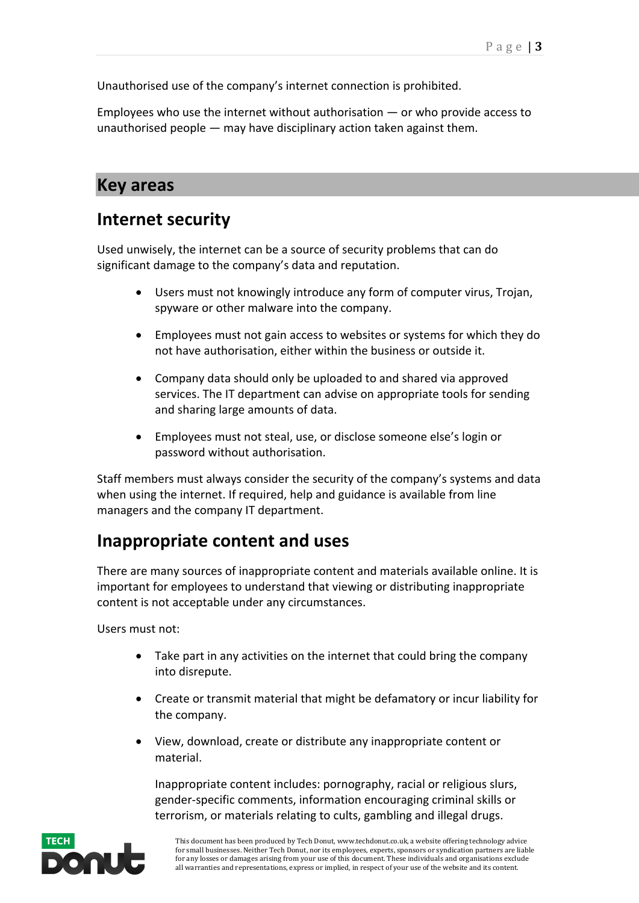Unauthorised use of the company's internet connection is prohibited.

Employees who use the internet without authorisation — or who provide access to unauthorised people — may have disciplinary action taken against them.

#### **Key areas**

#### **Internet security**

Used unwisely, the internet can be a source of security problems that can do significant damage to the company's data and reputation.

- Users must not knowingly introduce any form of computer virus, Trojan, spyware or other malware into the company.
- Employees must not gain access to websites or systems for which they do not have authorisation, either within the business or outside it.
- Company data should only be uploaded to and shared via approved services. The IT department can advise on appropriate tools for sending and sharing large amounts of data.
- Employees must not steal, use, or disclose someone else's login or password without authorisation.

Staff members must always consider the security of the company's systems and data when using the internet. If required, help and guidance is available from line managers and the company IT department.

#### **Inappropriate content and uses**

There are many sources of inappropriate content and materials available online. It is important for employees to understand that viewing or distributing inappropriate content is not acceptable under any circumstances.

Users must not:

- Take part in any activities on the internet that could bring the company into disrepute.
- Create or transmit material that might be defamatory or incur liability for the company.
- View, download, create or distribute any inappropriate content or material.

Inappropriate content includes: pornography, racial or religious slurs, gender-specific comments, information encouraging criminal skills or terrorism, or materials relating to cults, gambling and illegal drugs.

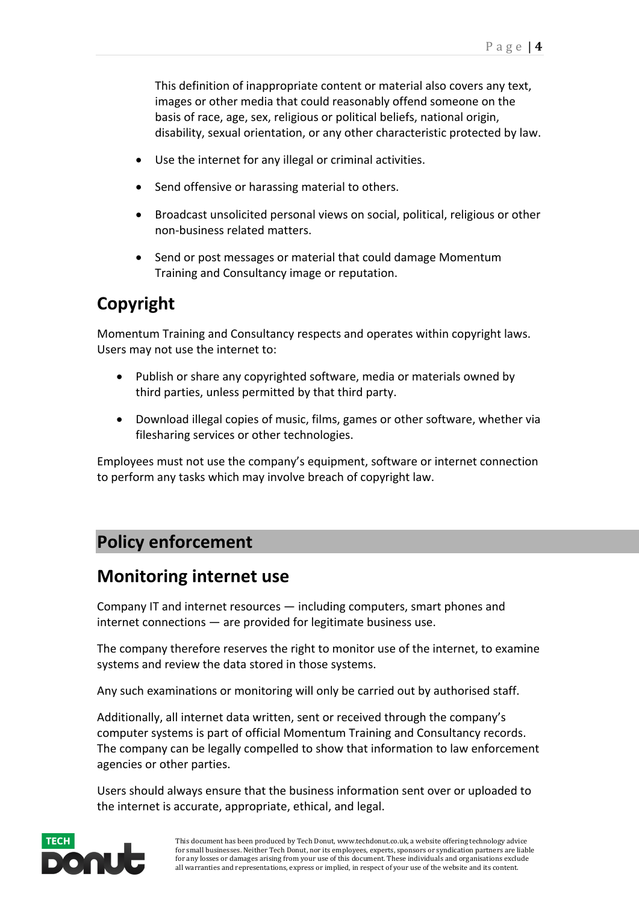This definition of inappropriate content or material also covers any text, images or other media that could reasonably offend someone on the basis of race, age, sex, religious or political beliefs, national origin, disability, sexual orientation, or any other characteristic protected by law.

- Use the internet for any illegal or criminal activities.
- Send offensive or harassing material to others.
- Broadcast unsolicited personal views on social, political, religious or other non-business related matters.
- Send or post messages or material that could damage Momentum Training and Consultancy image or reputation.

### **Copyright**

Momentum Training and Consultancy respects and operates within copyright laws. Users may not use the internet to:

- Publish or share any copyrighted software, media or materials owned by third parties, unless permitted by that third party.
- Download illegal copies of music, films, games or other software, whether via filesharing services or other technologies.

Employees must not use the company's equipment, software or internet connection to perform any tasks which may involve breach of copyright law.

#### **Policy enforcement**

#### **Monitoring internet use**

Company IT and internet resources — including computers, smart phones and internet connections — are provided for legitimate business use.

The company therefore reserves the right to monitor use of the internet, to examine systems and review the data stored in those systems.

Any such examinations or monitoring will only be carried out by authorised staff.

Additionally, all internet data written, sent or received through the company's computer systems is part of official Momentum Training and Consultancy records. The company can be legally compelled to show that information to law enforcement agencies or other parties.

Users should always ensure that the business information sent over or uploaded to the internet is accurate, appropriate, ethical, and legal.